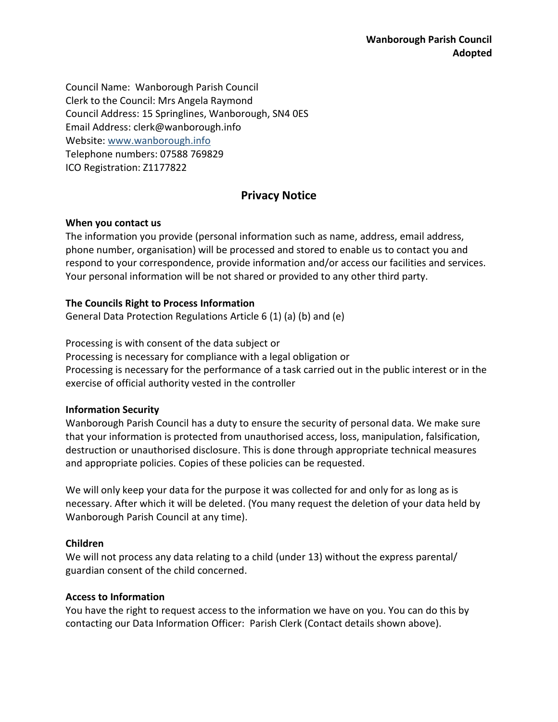Council Name: Wanborough Parish Council Clerk to the Council: Mrs Angela Raymond Council Address: 15 Springlines, Wanborough, SN4 0ES Email Address: clerk@wanborough.info Website: [www.wanborough.info](http://www.wanborough.info/) Telephone numbers: 07588 769829 ICO Registration: Z1177822

# **Privacy Notice**

### **When you contact us**

The information you provide (personal information such as name, address, email address, phone number, organisation) will be processed and stored to enable us to contact you and respond to your correspondence, provide information and/or access our facilities and services. Your personal information will be not shared or provided to any other third party.

## **The Councils Right to Process Information**

General Data Protection Regulations Article 6 (1) (a) (b) and (e)

Processing is with consent of the data subject or Processing is necessary for compliance with a legal obligation or Processing is necessary for the performance of a task carried out in the public interest or in the exercise of official authority vested in the controller

### **Information Security**

Wanborough Parish Council has a duty to ensure the security of personal data. We make sure that your information is protected from unauthorised access, loss, manipulation, falsification, destruction or unauthorised disclosure. This is done through appropriate technical measures and appropriate policies. Copies of these policies can be requested.

We will only keep your data for the purpose it was collected for and only for as long as is necessary. After which it will be deleted. (You many request the deletion of your data held by Wanborough Parish Council at any time).

## **Children**

We will not process any data relating to a child (under 13) without the express parental/ guardian consent of the child concerned.

## **Access to Information**

You have the right to request access to the information we have on you. You can do this by contacting our Data Information Officer: Parish Clerk (Contact details shown above).